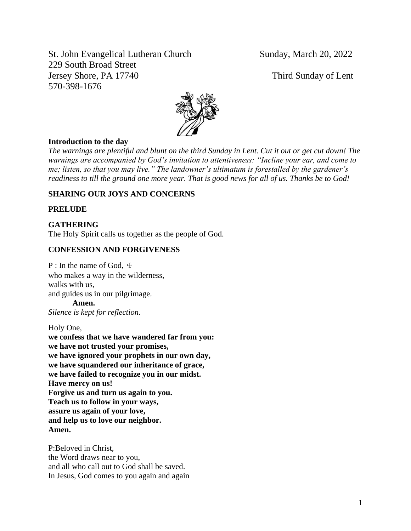St. John Evangelical Lutheran Church Sunday, March 20, 2022 229 South Broad Street Jersey Shore, PA 17740 Third Sunday of Lent 570-398-1676



#### **Introduction to the day**

*The warnings are plentiful and blunt on the third Sunday in Lent. Cut it out or get cut down! The warnings are accompanied by God's invitation to attentiveness: "Incline your ear, and come to me; listen, so that you may live." The landowner's ultimatum is forestalled by the gardener's readiness to till the ground one more year. That is good news for all of us. Thanks be to God!*

# **SHARING OUR JOYS AND CONCERNS**

#### **PRELUDE**

#### **GATHERING**

The Holy Spirit calls us together as the people of God.

#### **CONFESSION AND FORGIVENESS**

P : In the name of God,  $\pm$ who makes a way in the wilderness, walks with us, and guides us in our pilgrimage. **Amen.**

*Silence is kept for reflection.*

Holy One,

**we confess that we have wandered far from you: we have not trusted your promises, we have ignored your prophets in our own day, we have squandered our inheritance of grace, we have failed to recognize you in our midst. Have mercy on us! Forgive us and turn us again to you. Teach us to follow in your ways, assure us again of your love, and help us to love our neighbor. Amen.**

P:Beloved in Christ, the Word draws near to you, and all who call out to God shall be saved. In Jesus, God comes to you again and again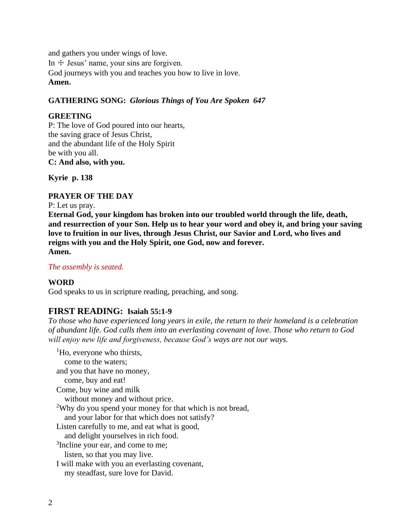and gathers you under wings of love. In  $\pm$  Jesus' name, your sins are forgiven. God journeys with you and teaches you how to live in love. **Amen.**

# **GATHERING SONG:** *Glorious Things of You Are Spoken 647*

# **GREETING**

P: The love of God poured into our hearts, the saving grace of Jesus Christ, and the abundant life of the Holy Spirit be with you all. **C: And also, with you.**

**Kyrie p. 138**

# **PRAYER OF THE DAY**

P: Let us pray.

**Eternal God, your kingdom has broken into our troubled world through the life, death, and resurrection of your Son. Help us to hear your word and obey it, and bring your saving love to fruition in our lives, through Jesus Christ, our Savior and Lord, who lives and reigns with you and the Holy Spirit, one God, now and forever. Amen.**

# *The assembly is seated.*

#### **WORD**

God speaks to us in scripture reading, preaching, and song.

# **FIRST READING: Isaiah 55:1-9**

*To those who have experienced long years in exile, the return to their homeland is a celebration of abundant life. God calls them into an everlasting covenant of love. Those who return to God will enjoy new life and forgiveness, because God's ways are not our ways.*

 ${}^{1}$ Ho, everyone who thirsts, come to the waters; and you that have no money, come, buy and eat! Come, buy wine and milk without money and without price. <sup>2</sup>Why do you spend your money for that which is not bread, and your labor for that which does not satisfy? Listen carefully to me, and eat what is good, and delight yourselves in rich food. <sup>3</sup>Incline your ear, and come to me; listen, so that you may live. I will make with you an everlasting covenant, my steadfast, sure love for David.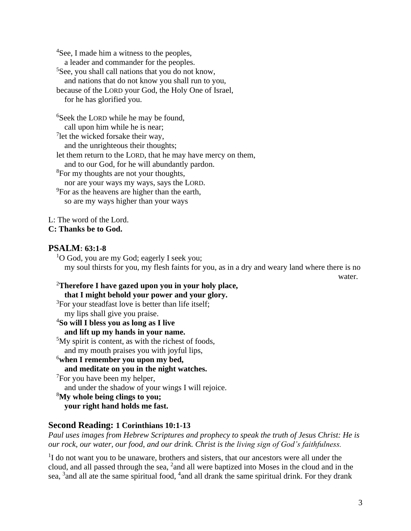<sup>4</sup>See, I made him a witness to the peoples, a leader and commander for the peoples. <sup>5</sup>See, you shall call nations that you do not know, and nations that do not know you shall run to you, because of the LORD your God, the Holy One of Israel, for he has glorified you. <sup>6</sup>Seek the LORD while he may be found,

call upon him while he is near; <sup>7</sup>let the wicked forsake their way, and the unrighteous their thoughts; let them return to the LORD, that he may have mercy on them, and to our God, for he will abundantly pardon. <sup>8</sup>For my thoughts are not your thoughts, nor are your ways my ways, says the LORD.

<sup>9</sup>For as the heavens are higher than the earth,

so are my ways higher than your ways

L: The word of the Lord.

**C: Thanks be to God.**

# **PSALM: 63:1-8**

 $1$ O God, you are my God; eagerly I seek you; my soul thirsts for you, my flesh faints for you, as in a dry and weary land where there is no

water.

#### <sup>2</sup>**Therefore I have gazed upon you in your holy place, that I might behold your power and your glory.**

<sup>3</sup>For your steadfast love is better than life itself; my lips shall give you praise. <sup>4</sup>**So will I bless you as long as I live and lift up my hands in your name.**  $5$ My spirit is content, as with the richest of foods, and my mouth praises you with joyful lips, <sup>6</sup>**when I remember you upon my bed, and meditate on you in the night watches.**  $7$ For you have been my helper, and under the shadow of your wings I will rejoice. <sup>8</sup>**My whole being clings to you;**

# **your right hand holds me fast.**

# **Second Reading: 1 Corinthians 10:1-13**

*Paul uses images from Hebrew Scriptures and prophecy to speak the truth of Jesus Christ: He is our rock, our water, our food, and our drink. Christ is the living sign of God's faithfulness.*

<sup>1</sup>I do not want you to be unaware, brothers and sisters, that our ancestors were all under the cloud, and all passed through the sea, <sup>2</sup> and all were baptized into Moses in the cloud and in the sea, <sup>3</sup> and all ate the same spiritual food, <sup>4</sup> and all drank the same spiritual drink. For they drank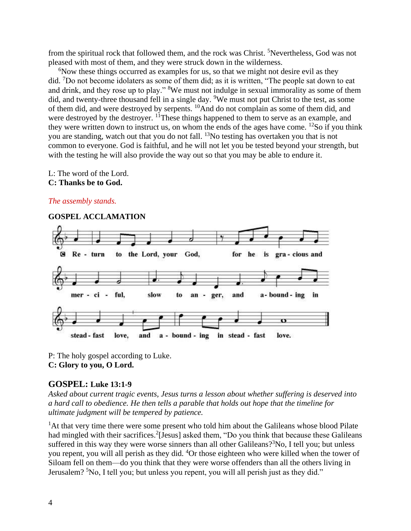from the spiritual rock that followed them, and the rock was Christ. <sup>5</sup>Nevertheless, God was not pleased with most of them, and they were struck down in the wilderness.

 $6$ Now these things occurred as examples for us, so that we might not desire evil as they did. <sup>7</sup>Do not become idolaters as some of them did; as it is written, "The people sat down to eat and drink, and they rose up to play." <sup>8</sup>We must not indulge in sexual immorality as some of them did, and twenty-three thousand fell in a single day. <sup>9</sup>We must not put Christ to the test, as some of them did, and were destroyed by serpents. <sup>10</sup>And do not complain as some of them did, and were destroyed by the destroyer. <sup>11</sup>These things happened to them to serve as an example, and they were written down to instruct us, on whom the ends of the ages have come.  $^{12}$ So if you think you are standing, watch out that you do not fall. <sup>13</sup>No testing has overtaken you that is not common to everyone. God is faithful, and he will not let you be tested beyond your strength, but with the testing he will also provide the way out so that you may be able to endure it.

L: The word of the Lord.

#### **C: Thanks be to God.**

### *The assembly stands.*

#### **GOSPEL ACCLAMATION**  to the Lord, your God, G Re - turn for he is gra-cious and mer - ci ful, slow and a-bound-ing in an ger, to  $\sigma$ stead - fast love, and a - bound - ing in stead - fast love.

P: The holy gospel according to Luke. **C: Glory to you, O Lord.**

# **GOSPEL: Luke 13:1-9**

*Asked about current tragic events, Jesus turns a lesson about whether suffering is deserved into a hard call to obedience. He then tells a parable that holds out hope that the timeline for ultimate judgment will be tempered by patience.*

<sup>1</sup>At that very time there were some present who told him about the Galileans whose blood Pilate had mingled with their sacrifices.<sup>2</sup>[Jesus] asked them, "Do you think that because these Galileans suffered in this way they were worse sinners than all other Galileans?<sup>3</sup>No, I tell you; but unless you repent, you will all perish as they did. <sup>4</sup>Or those eighteen who were killed when the tower of Siloam fell on them—do you think that they were worse offenders than all the others living in Jerusalem? <sup>5</sup>No, I tell you; but unless you repent, you will all perish just as they did."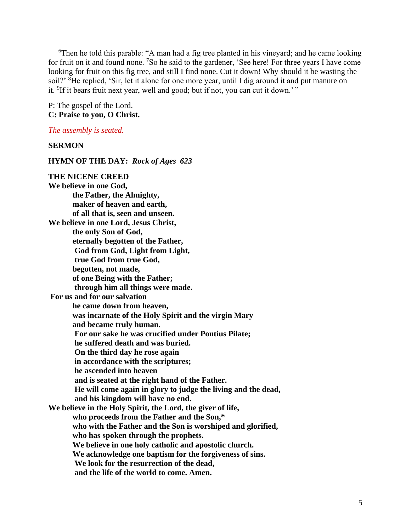<sup>6</sup>Then he told this parable: "A man had a fig tree planted in his vineyard; and he came looking for fruit on it and found none. <sup>7</sup>So he said to the gardener, 'See here! For three years I have come looking for fruit on this fig tree, and still I find none. Cut it down! Why should it be wasting the soil?' <sup>8</sup>He replied, 'Sir, let it alone for one more year, until I dig around it and put manure on it. <sup>9</sup>If it bears fruit next year, well and good; but if not, you can cut it down.'"

P: The gospel of the Lord. **C: Praise to you, O Christ.**

#### *The assembly is seated.*

#### **SERMON**

**HYMN OF THE DAY:** *Rock of Ages 623* **THE NICENE CREED We believe in one God, the Father, the Almighty, maker of heaven and earth, of all that is, seen and unseen. We believe in one Lord, Jesus Christ, the only Son of God, eternally begotten of the Father, God from God, Light from Light, true God from true God, begotten, not made,** 

**of one Being with the Father;** 

**through him all things were made.** 

**For us and for our salvation** 

**he came down from heaven,** 

**was incarnate of the Holy Spirit and the virgin Mary** 

**and became truly human.** 

**For our sake he was crucified under Pontius Pilate;** 

**he suffered death and was buried.** 

**On the third day he rose again** 

**in accordance with the scriptures;** 

**he ascended into heaven** 

**and is seated at the right hand of the Father.** 

**He will come again in glory to judge the living and the dead, and his kingdom will have no end.** 

**We believe in the Holy Spirit, the Lord, the giver of life, who proceeds from the Father and the Son,\***

**who with the Father and the Son is worshiped and glorified,** 

**who has spoken through the prophets.** 

**We believe in one holy catholic and apostolic church.** 

**We acknowledge one baptism for the forgiveness of sins.** 

**We look for the resurrection of the dead,** 

**and the life of the world to come. Amen.**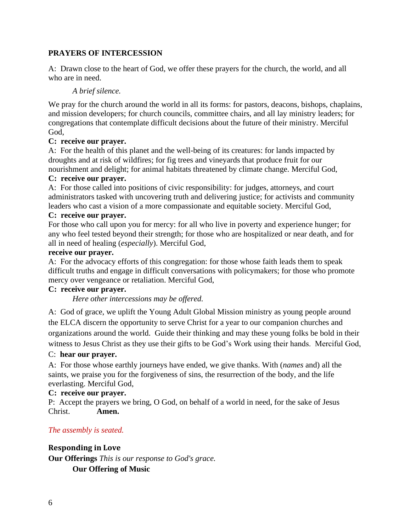# **PRAYERS OF INTERCESSION**

A: Drawn close to the heart of God, we offer these prayers for the church, the world, and all who are in need.

### *A brief silence.*

We pray for the church around the world in all its forms: for pastors, deacons, bishops, chaplains, and mission developers; for church councils, committee chairs, and all lay ministry leaders; for congregations that contemplate difficult decisions about the future of their ministry. Merciful God,

#### **C: receive our prayer.**

A: For the health of this planet and the well-being of its creatures: for lands impacted by droughts and at risk of wildfires; for fig trees and vineyards that produce fruit for our nourishment and delight; for animal habitats threatened by climate change. Merciful God,

### **C: receive our prayer.**

A: For those called into positions of civic responsibility: for judges, attorneys, and court administrators tasked with uncovering truth and delivering justice; for activists and community leaders who cast a vision of a more compassionate and equitable society. Merciful God,

#### **C: receive our prayer.**

For those who call upon you for mercy: for all who live in poverty and experience hunger; for any who feel tested beyond their strength; for those who are hospitalized or near death, and for all in need of healing (*especially*). Merciful God,

#### **receive our prayer.**

A: For the advocacy efforts of this congregation: for those whose faith leads them to speak difficult truths and engage in difficult conversations with policymakers; for those who promote mercy over vengeance or retaliation. Merciful God,

#### **C: receive our prayer.**

*Here other intercessions may be offered.*

A:God of grace, we uplift the Young Adult Global Mission ministry as young people around the ELCA discern the opportunity to serve Christ for a year to our companion churches and organizations around the world. Guide their thinking and may these young folks be bold in their witness to Jesus Christ as they use their gifts to be God's Work using their hands. Merciful God,

#### C: **hear our prayer.**

A: For those whose earthly journeys have ended, we give thanks. With (*names* and) all the saints, we praise you for the forgiveness of sins, the resurrection of the body, and the life everlasting. Merciful God,

#### **C: receive our prayer.**

P: Accept the prayers we bring, O God, on behalf of a world in need, for the sake of Jesus Christ. **Amen.**

#### *The assembly is seated.*

**Responding in Love Our Offerings** *This is our response to God's grace.* **Our Offering of Music**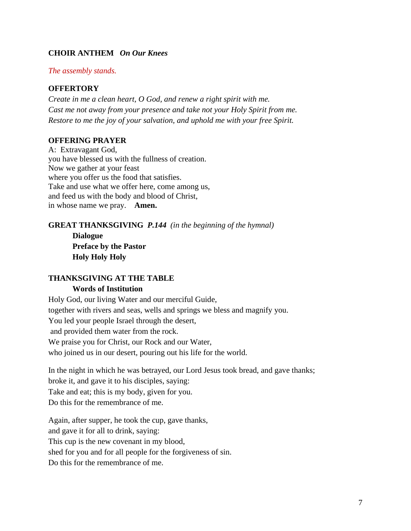# **CHOIR ANTHEM** *On Our Knees*

#### *The assembly stands.*

# **OFFERTORY**

*Create in me a clean heart, O God, and renew a right spirit with me. Cast me not away from your presence and take not your Holy Spirit from me. Restore to me the joy of your salvation, and uphold me with your free Spirit.*

#### **OFFERING PRAYER**

A: Extravagant God, you have blessed us with the fullness of creation. Now we gather at your feast where you offer us the food that satisfies. Take and use what we offer here, come among us, and feed us with the body and blood of Christ, in whose name we pray. **Amen.**

# **GREAT THANKSGIVING** *P.144 (in the beginning of the hymnal)* **Dialogue**

**Preface by the Pastor Holy Holy Holy**

#### **THANKSGIVING AT THE TABLE Words of Institution**

Holy God, our living Water and our merciful Guide, together with rivers and seas, wells and springs we bless and magnify you. You led your people Israel through the desert, and provided them water from the rock. We praise you for Christ, our Rock and our Water, who joined us in our desert, pouring out his life for the world.

In the night in which he was betrayed, our Lord Jesus took bread, and gave thanks; broke it, and gave it to his disciples, saying: Take and eat; this is my body, given for you. Do this for the remembrance of me.

Again, after supper, he took the cup, gave thanks, and gave it for all to drink, saying: This cup is the new covenant in my blood, shed for you and for all people for the forgiveness of sin. Do this for the remembrance of me.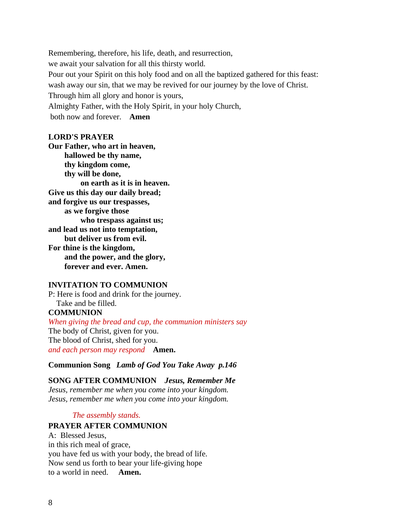Remembering, therefore, his life, death, and resurrection, we await your salvation for all this thirsty world. Pour out your Spirit on this holy food and on all the baptized gathered for this feast: wash away our sin, that we may be revived for our journey by the love of Christ. Through him all glory and honor is yours, Almighty Father, with the Holy Spirit, in your holy Church, both now and forever. **Amen**

#### **LORD'S PRAYER**

**Our Father, who art in heaven, hallowed be thy name, thy kingdom come, thy will be done, on earth as it is in heaven. Give us this day our daily bread; and forgive us our trespasses, as we forgive those who trespass against us; and lead us not into temptation, but deliver us from evil. For thine is the kingdom, and the power, and the glory, forever and ever. Amen.**

#### **INVITATION TO COMMUNION**

P: Here is food and drink for the journey. Take and be filled. **COMMUNION** *When giving the bread and cup, the communion ministers say* The body of Christ, given for you. The blood of Christ, shed for you.

*and each person may respond* **Amen.**

**Communion Song** *Lamb of God You Take Away p.146*

# **SONG AFTER COMMUNION** *Jesus, Remember Me*

*Jesus, remember me when you come into your kingdom. Jesus, remember me when you come into your kingdom.*

#### *The assembly stands.*

#### **PRAYER AFTER COMMUNION**

A: Blessed Jesus, in this rich meal of grace, you have fed us with your body, the bread of life. Now send us forth to bear your life-giving hope to a world in need. **Amen.**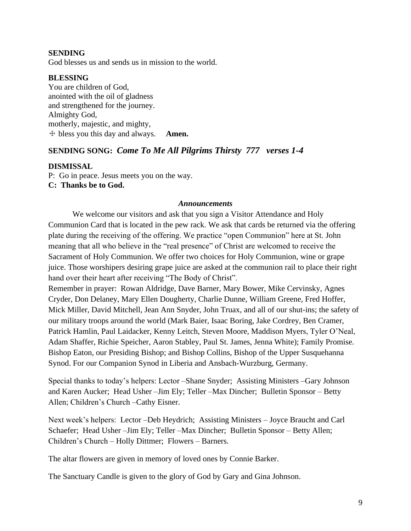### **SENDING**

God blesses us and sends us in mission to the world.

#### **BLESSING**

You are children of God, anointed with the oil of gladness and strengthened for the journey. Almighty God, motherly, majestic, and mighty, ☩ bless you this day and always. **Amen.**

# **SENDING SONG:** *Come To Me All Pilgrims Thirsty 777 verses 1-4*

#### **DISMISSAL**

P: Go in peace. Jesus meets you on the way.

**C: Thanks be to God.**

#### *Announcements*

We welcome our visitors and ask that you sign a Visitor Attendance and Holy Communion Card that is located in the pew rack. We ask that cards be returned via the offering plate during the receiving of the offering. We practice "open Communion" here at St. John meaning that all who believe in the "real presence" of Christ are welcomed to receive the Sacrament of Holy Communion. We offer two choices for Holy Communion, wine or grape juice. Those worshipers desiring grape juice are asked at the communion rail to place their right hand over their heart after receiving "The Body of Christ".

Remember in prayer: Rowan Aldridge, Dave Barner, Mary Bower, Mike Cervinsky, Agnes Cryder, Don Delaney, Mary Ellen Dougherty, Charlie Dunne, William Greene, Fred Hoffer, Mick Miller, David Mitchell, Jean Ann Snyder, John Truax, and all of our shut-ins; the safety of our military troops around the world (Mark Baier, Isaac Boring, Jake Cordrey, Ben Cramer, Patrick Hamlin, Paul Laidacker, Kenny Leitch, Steven Moore, Maddison Myers, Tyler O'Neal, Adam Shaffer, Richie Speicher, Aaron Stabley, Paul St. James, Jenna White); Family Promise. Bishop Eaton, our Presiding Bishop; and Bishop Collins, Bishop of the Upper Susquehanna Synod. For our Companion Synod in Liberia and Ansbach-Wurzburg, Germany.

Special thanks to today's helpers: Lector –Shane Snyder; Assisting Ministers –Gary Johnson and Karen Aucker; Head Usher –Jim Ely; Teller –Max Dincher; Bulletin Sponsor – Betty Allen; Children's Church –Cathy Eisner.

Next week's helpers: Lector –Deb Heydrich; Assisting Ministers – Joyce Braucht and Carl Schaefer; Head Usher –Jim Ely; Teller –Max Dincher; Bulletin Sponsor – Betty Allen; Children's Church – Holly Dittmer; Flowers – Barners.

The altar flowers are given in memory of loved ones by Connie Barker.

The Sanctuary Candle is given to the glory of God by Gary and Gina Johnson.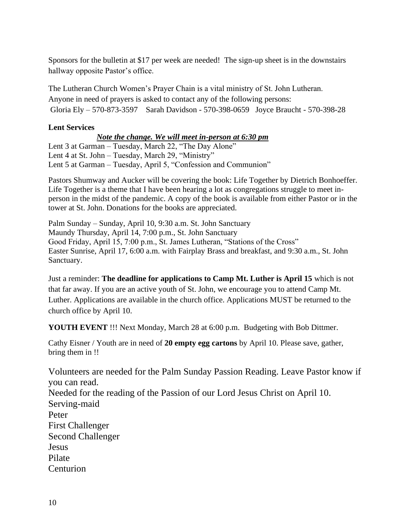Sponsors for the bulletin at \$17 per week are needed! The sign-up sheet is in the downstairs hallway opposite Pastor's office.

The Lutheran Church Women's Prayer Chain is a vital ministry of St. John Lutheran. Anyone in need of prayers is asked to contact any of the following persons: Gloria Ely – 570-873-3597 Sarah Davidson - 570-398-0659 Joyce Braucht - 570-398-28

# **Lent Services**

# *Note the change. We will meet in-person at 6:30 pm*

Lent 3 at Garman – Tuesday, March 22, "The Day Alone" Lent 4 at St. John – Tuesday, March 29, "Ministry" Lent 5 at Garman – Tuesday, April 5, "Confession and Communion"

Pastors Shumway and Aucker will be covering the book: Life Together by Dietrich Bonhoeffer. Life Together is a theme that I have been hearing a lot as congregations struggle to meet inperson in the midst of the pandemic. A copy of the book is available from either Pastor or in the tower at St. John. Donations for the books are appreciated.

Palm Sunday – Sunday, April 10, 9:30 a.m. St. John Sanctuary Maundy Thursday, April 14, 7:00 p.m., St. John Sanctuary Good Friday, April 15, 7:00 p.m., St. James Lutheran, "Stations of the Cross" Easter Sunrise, April 17, 6:00 a.m. with Fairplay Brass and breakfast, and 9:30 a.m., St. John Sanctuary.

Just a reminder: **The deadline for applications to Camp Mt. Luther is April 15** which is not that far away. If you are an active youth of St. John, we encourage you to attend Camp Mt. Luther. Applications are available in the church office. Applications MUST be returned to the church office by April 10.

**YOUTH EVENT** !!! Next Monday, March 28 at 6:00 p.m. Budgeting with Bob Dittmer.

Cathy Eisner / Youth are in need of **20 empty egg cartons** by April 10. Please save, gather, bring them in !!

Volunteers are needed for the Palm Sunday Passion Reading. Leave Pastor know if you can read. Needed for the reading of the Passion of our Lord Jesus Christ on April 10. Serving-maid Peter First Challenger Second Challenger Jesus Pilate Centurion